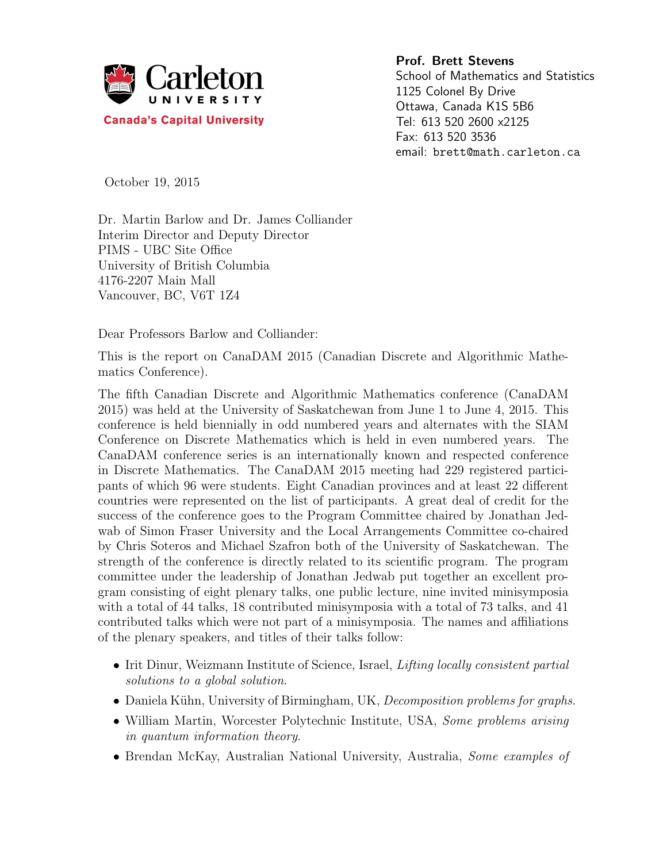

Prof. Brett Stevens School of Mathematics and Statistics 1125 Colonel By Drive Ottawa, Canada K1S 5B6 Tel: 613 520 2600 x2125 Fax: 613 520 3536 email: brett@math.carleton.ca

October 19, 2015

Dr. Martin Barlow and Dr. James Colliander Interim Director and Deputy Director PIMS - UBC Site Office University of British Columbia 4176-2207 Main Mall Vancouver, BC, V6T 1Z4

Dear Professors Barlow and Colliander:

This is the report on CanaDAM 2015 (Canadian Discrete and Algorithmic Mathematics Conference).

The fifth Canadian Discrete and Algorithmic Mathematics conference (CanaDAM 2015) was held at the University of Saskatchewan from June 1 to June 4, 2015. This conference is held biennially in odd numbered years and alternates with the SIAM Conference on Discrete Mathematics which is held in even numbered years. The CanaDAM conference series is an internationally known and respected conference in Discrete Mathematics. The CanaDAM 2015 meeting had 229 registered participants of which 96 were students. Eight Canadian provinces and at least 22 different countries were represented on the list of participants. A great deal of credit for the success of the conference goes to the Program Committee chaired by Jonathan Jedwab of Simon Fraser University and the Local Arrangements Committee co-chaired by Chris Soteros and Michael Szafron both of the University of Saskatchewan. The strength of the conference is directly related to its scientific program. The program committee under the leadership of Jonathan Jedwab put together an excellent program consisting of eight plenary talks, one public lecture, nine invited minisymposia with a total of 44 talks, 18 contributed minisymposia with a total of 73 talks, and 41 contributed talks which were not part of a minisymposia. The names and affiliations of the plenary speakers, and titles of their talks follow:

- Irit Dinur, Weizmann Institute of Science, Israel, Lifting locally consistent partial solutions to a global solution.
- Daniela Kühn, University of Birmingham, UK, Decomposition problems for graphs.
- William Martin, Worcester Polytechnic Institute, USA, Some problems arising in quantum information theory.
- Brendan McKay, Australian National University, Australia, Some examples of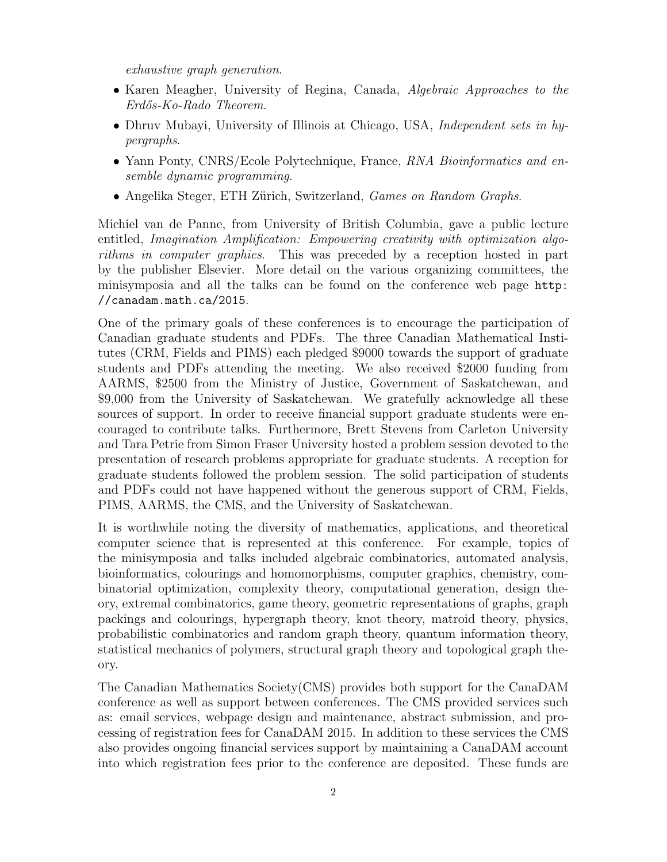exhaustive graph generation.

- Karen Meagher, University of Regina, Canada, Algebraic Approaches to the Erd˝os-Ko-Rado Theorem.
- Dhruv Mubayi, University of Illinois at Chicago, USA, Independent sets in hypergraphs.
- Yann Ponty, CNRS/Ecole Polytechnique, France, RNA Bioinformatics and ensemble dynamic programming.
- Angelika Steger, ETH Zürich, Switzerland, Games on Random Graphs.

Michiel van de Panne, from University of British Columbia, gave a public lecture entitled, Imagination Amplification: Empowering creativity with optimization algorithms in computer graphics. This was preceded by a reception hosted in part by the publisher Elsevier. More detail on the various organizing committees, the minisymposia and all the talks can be found on the conference web page http: //canadam.math.ca/2015.

One of the primary goals of these conferences is to encourage the participation of Canadian graduate students and PDFs. The three Canadian Mathematical Institutes (CRM, Fields and PIMS) each pledged \$9000 towards the support of graduate students and PDFs attending the meeting. We also received \$2000 funding from AARMS, \$2500 from the Ministry of Justice, Government of Saskatchewan, and \$9,000 from the University of Saskatchewan. We gratefully acknowledge all these sources of support. In order to receive financial support graduate students were encouraged to contribute talks. Furthermore, Brett Stevens from Carleton University and Tara Petrie from Simon Fraser University hosted a problem session devoted to the presentation of research problems appropriate for graduate students. A reception for graduate students followed the problem session. The solid participation of students and PDFs could not have happened without the generous support of CRM, Fields, PIMS, AARMS, the CMS, and the University of Saskatchewan.

It is worthwhile noting the diversity of mathematics, applications, and theoretical computer science that is represented at this conference. For example, topics of the minisymposia and talks included algebraic combinatorics, automated analysis, bioinformatics, colourings and homomorphisms, computer graphics, chemistry, combinatorial optimization, complexity theory, computational generation, design theory, extremal combinatorics, game theory, geometric representations of graphs, graph packings and colourings, hypergraph theory, knot theory, matroid theory, physics, probabilistic combinatorics and random graph theory, quantum information theory, statistical mechanics of polymers, structural graph theory and topological graph theory.

The Canadian Mathematics Society(CMS) provides both support for the CanaDAM conference as well as support between conferences. The CMS provided services such as: email services, webpage design and maintenance, abstract submission, and processing of registration fees for CanaDAM 2015. In addition to these services the CMS also provides ongoing financial services support by maintaining a CanaDAM account into which registration fees prior to the conference are deposited. These funds are